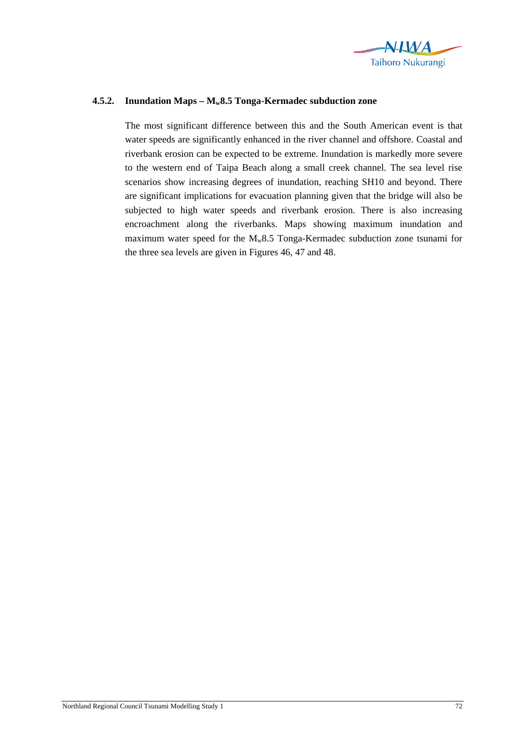

## **4.5.2. Inundation Maps – Mw8.5 Tonga-Kermadec subduction zone**

The most significant difference between this and the South American event is that water speeds are significantly enhanced in the river channel and offshore. Coastal and riverbank erosion can be expected to be extreme. Inundation is markedly more severe to the western end of Taipa Beach along a small creek channel. The sea level rise scenarios show increasing degrees of inundation, reaching SH10 and beyond. There are significant implications for evacuation planning given that the bridge will also be subjected to high water speeds and riverbank erosion. There is also increasing encroachment along the riverbanks. Maps showing maximum inundation and maximum water speed for the  $M_{w}8.5$  Tonga-Kermadec subduction zone tsunami for the three sea levels are given in Figures 46, 47 and 48.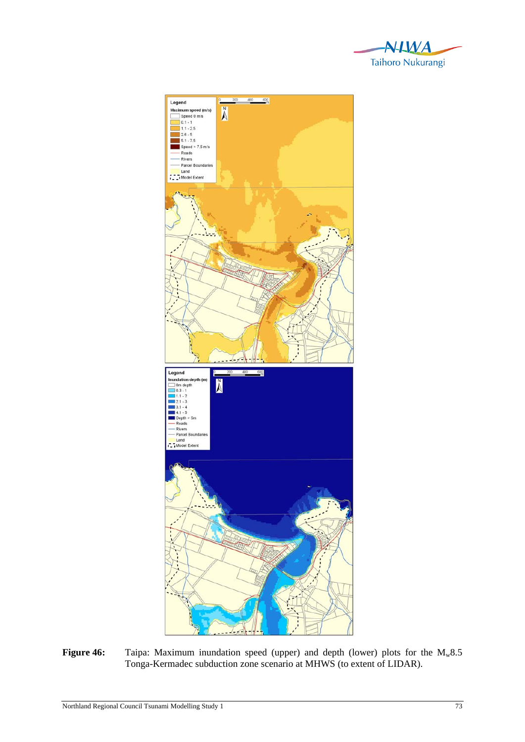



Figure 46: Taipa: Maximum inundation speed (upper) and depth (lower) plots for the M<sub>w</sub>8.5 Tonga-Kermadec subduction zone scenario at MHWS (to extent of LIDAR).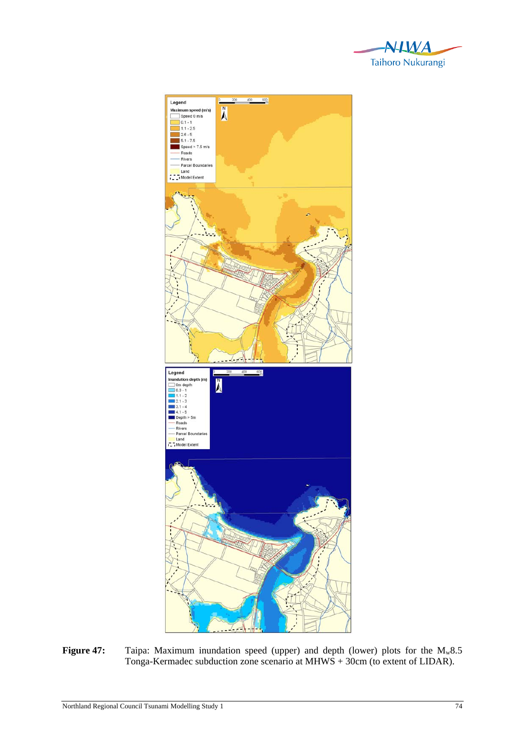



Figure 47: Taipa: Maximum inundation speed (upper) and depth (lower) plots for the M<sub>w</sub>8.5 Tonga-Kermadec subduction zone scenario at MHWS + 30cm (to extent of LIDAR).